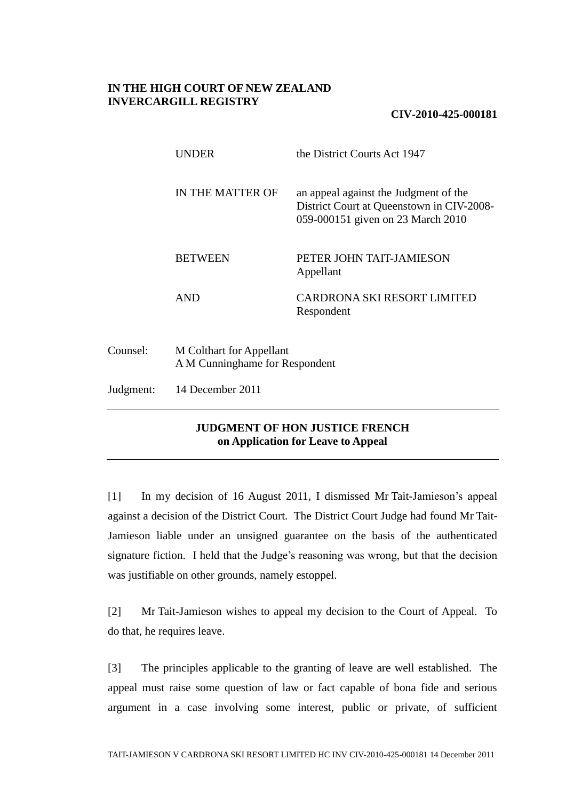## **IN THE HIGH COURT OF NEW ZEALAND INVERCARGILL REGISTRY**

## **CIV-2010-425-000181**

|          | UNDER                                                      | the District Courts Act 1947                                                                                            |
|----------|------------------------------------------------------------|-------------------------------------------------------------------------------------------------------------------------|
|          | IN THE MATTER OF                                           | an appeal against the Judgment of the<br>District Court at Queenstown in CIV-2008-<br>059-000151 given on 23 March 2010 |
|          | <b>BETWEEN</b>                                             | PETER JOHN TAIT-JAMIESON<br>Appellant                                                                                   |
|          | <b>AND</b>                                                 | CARDRONA SKI RESORT LIMITED<br>Respondent                                                                               |
| Counsel: | M Colthart for Appellant<br>A M Cunninghame for Respondent |                                                                                                                         |

Judgment: 14 December 2011

## **JUDGMENT OF HON JUSTICE FRENCH on Application for Leave to Appeal**

[1] In my decision of 16 August 2011, I dismissed Mr Tait-Jamieson's appeal against a decision of the District Court. The District Court Judge had found Mr Tait-Jamieson liable under an unsigned guarantee on the basis of the authenticated signature fiction. I held that the Judge's reasoning was wrong, but that the decision was justifiable on other grounds, namely estoppel.

[2] Mr Tait-Jamieson wishes to appeal my decision to the Court of Appeal. To do that, he requires leave.

[3] The principles applicable to the granting of leave are well established. The appeal must raise some question of law or fact capable of bona fide and serious argument in a case involving some interest, public or private, of sufficient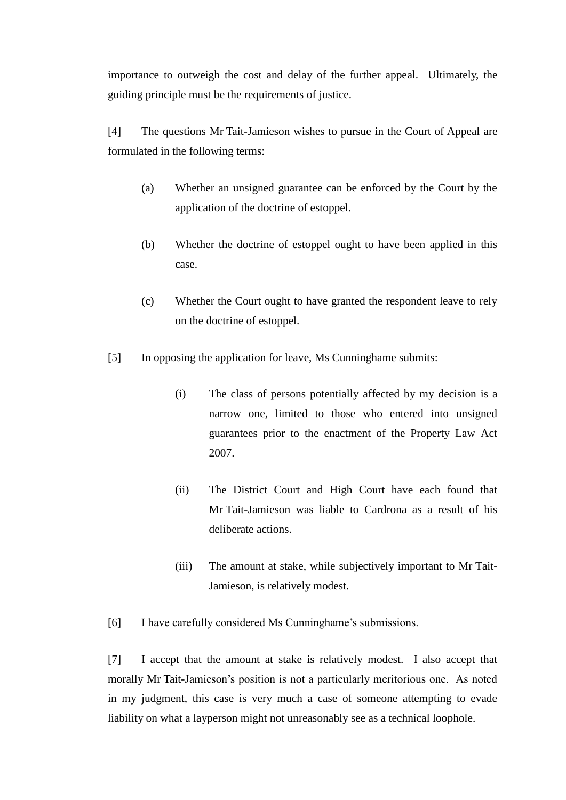importance to outweigh the cost and delay of the further appeal. Ultimately, the guiding principle must be the requirements of justice.

[4] The questions Mr Tait-Jamieson wishes to pursue in the Court of Appeal are formulated in the following terms:

- (a) Whether an unsigned guarantee can be enforced by the Court by the application of the doctrine of estoppel.
- (b) Whether the doctrine of estoppel ought to have been applied in this case.
- (c) Whether the Court ought to have granted the respondent leave to rely on the doctrine of estoppel.
- [5] In opposing the application for leave, Ms Cunninghame submits:
	- (i) The class of persons potentially affected by my decision is a narrow one, limited to those who entered into unsigned guarantees prior to the enactment of the Property Law Act 2007.
	- (ii) The District Court and High Court have each found that Mr Tait-Jamieson was liable to Cardrona as a result of his deliberate actions.
	- (iii) The amount at stake, while subjectively important to Mr Tait-Jamieson, is relatively modest.

[6] I have carefully considered Ms Cunninghame's submissions.

[7] I accept that the amount at stake is relatively modest. I also accept that morally Mr Tait-Jamieson's position is not a particularly meritorious one. As noted in my judgment, this case is very much a case of someone attempting to evade liability on what a layperson might not unreasonably see as a technical loophole.